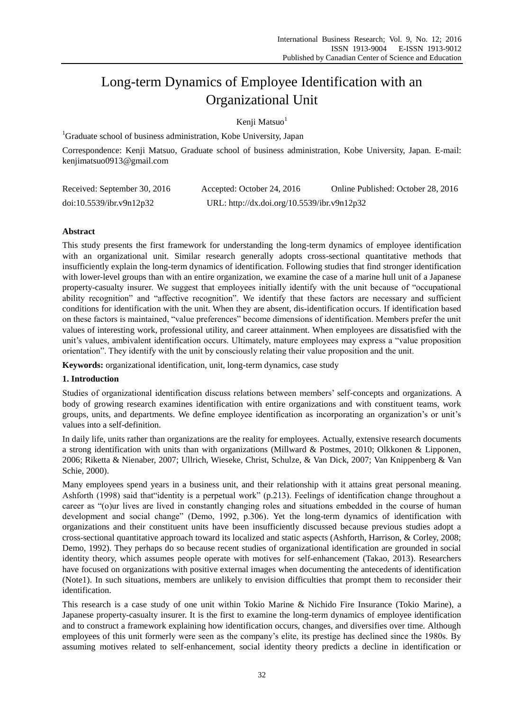# Long-term Dynamics of Employee Identification with an Organizational Unit

## Kenii Matsuo<sup>1</sup>

 $1$ Graduate school of business administration, Kobe University, Japan

Correspondence: Kenji Matsuo, Graduate school of business administration, Kobe University, Japan. E-mail: kenjimatsuo0913@gmail.com

| Received: September 30, 2016 | Accepted: October 24, 2016                  | Online Published: October 28, 2016 |
|------------------------------|---------------------------------------------|------------------------------------|
| doi:10.5539/ibr.v9n12p32     | URL: http://dx.doi.org/10.5539/ibr.v9n12p32 |                                    |

## **Abstract**

This study presents the first framework for understanding the long-term dynamics of employee identification with an organizational unit. Similar research generally adopts cross-sectional quantitative methods that insufficiently explain the long-term dynamics of identification. Following studies that find stronger identification with lower-level groups than with an entire organization, we examine the case of a marine hull unit of a Japanese property-casualty insurer. We suggest that employees initially identify with the unit because of "occupational" ability recognition" and "affective recognition". We identify that these factors are necessary and sufficient conditions for identification with the unit. When they are absent, dis-identification occurs. If identification based on these factors is maintained, "value preferences" become dimensions of identification. Members prefer the unit values of interesting work, professional utility, and career attainment. When employees are dissatisfied with the unit's values, ambivalent identification occurs. Ultimately, mature employees may express a "value proposition orientation‖. They identify with the unit by consciously relating their value proposition and the unit.

**Keywords:** organizational identification, unit, long-term dynamics, case study

## **1. Introduction**

Studies of organizational identification discuss relations between members' self-concepts and organizations. A body of growing research examines identification with entire organizations and with constituent teams, work groups, units, and departments. We define employee identification as incorporating an organization's or unit's values into a self-definition.

In daily life, units rather than organizations are the reality for employees. Actually, extensive research documents a strong identification with units than with organizations (Millward & Postmes, 2010; Olkkonen & Lipponen, 2006; Riketta & Nienaber, 2007; Ullrich, Wieseke, Christ, Schulze, & Van Dick, 2007; Van Knippenberg & Van Schie, 2000).

Many employees spend years in a business unit, and their relationship with it attains great personal meaning. Ashforth (1998) said that "identity is a perpetual work" (p.213). Feelings of identification change throughout a career as "(o)ur lives are lived in constantly changing roles and situations embedded in the course of human development and social change" (Demo, 1992, p.306). Yet the long-term dynamics of identification with organizations and their constituent units have been insufficiently discussed because previous studies adopt a cross-sectional quantitative approach toward its localized and static aspects (Ashforth, Harrison, & Corley, 2008; Demo, 1992). They perhaps do so because recent studies of organizational identification are grounded in social identity theory, which assumes people operate with motives for self-enhancement (Takao, 2013). Researchers have focused on organizations with positive external images when documenting the antecedents of identification (Note1). In such situations, members are unlikely to envision difficulties that prompt them to reconsider their identification.

This research is a case study of one unit within Tokio Marine & Nichido Fire Insurance (Tokio Marine), a Japanese property-casualty insurer. It is the first to examine the long-term dynamics of employee identification and to construct a framework explaining how identification occurs, changes, and diversifies over time. Although employees of this unit formerly were seen as the company's elite, its prestige has declined since the 1980s. By assuming motives related to self-enhancement, social identity theory predicts a decline in identification or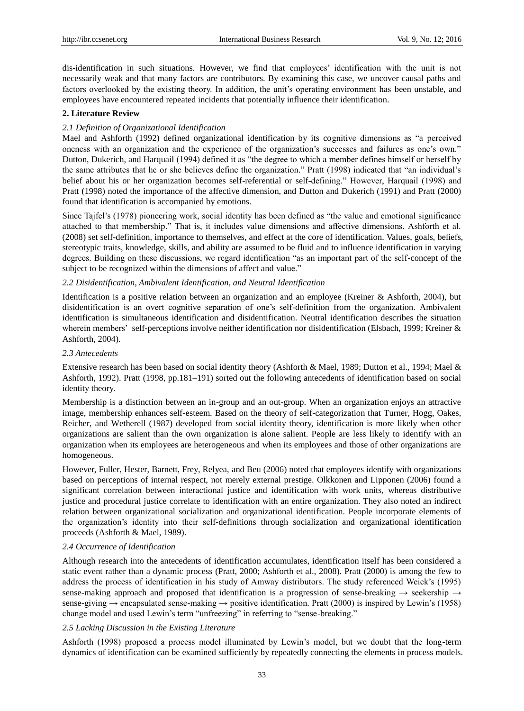dis-identification in such situations. However, we find that employees' identification with the unit is not necessarily weak and that many factors are contributors. By examining this case, we uncover causal paths and factors overlooked by the existing theory. In addition, the unit's operating environment has been unstable, and employees have encountered repeated incidents that potentially influence their identification.

## **2. Literature Review**

#### *2.1 Definition of Organizational Identification*

Mael and Ashforth (1992) defined organizational identification by its cognitive dimensions as "a perceived oneness with an organization and the experience of the organization's successes and failures as one's own." Dutton, Dukerich, and Harquail (1994) defined it as "the degree to which a member defines himself or herself by the same attributes that he or she believes define the organization." Pratt (1998) indicated that "an individual's belief about his or her organization becomes self-referential or self-defining." However, Harquail (1998) and Pratt (1998) noted the importance of the affective dimension, and Dutton and Dukerich (1991) and Pratt (2000) found that identification is accompanied by emotions.

Since Tajfel's (1978) pioneering work, social identity has been defined as "the value and emotional significance attached to that membership." That is, it includes value dimensions and affective dimensions. Ashforth et al. (2008) set self-definition, importance to themselves, and effect at the core of identification. Values, goals, beliefs, stereotypic traits, knowledge, skills, and ability are assumed to be fluid and to influence identification in varying degrees. Building on these discussions, we regard identification "as an important part of the self-concept of the subject to be recognized within the dimensions of affect and value."

## *2.2 Disidentification, Ambivalent Identification, and Neutral Identification*

Identification is a positive relation between an organization and an employee (Kreiner & Ashforth, 2004), but disidentification is an overt cognitive separation of one's self-definition from the organization. Ambivalent identification is simultaneous identification and disidentification. Neutral identification describes the situation wherein members' self-perceptions involve neither identification nor disidentification (Elsbach, 1999; Kreiner & Ashforth, 2004).

## *2.3 Antecedents*

Extensive research has been based on social identity theory (Ashforth & Mael, 1989; Dutton et al., 1994; Mael & Ashforth, 1992). Pratt (1998, pp.181–191) sorted out the following antecedents of identification based on social identity theory.

Membership is a distinction between an in-group and an out-group. When an organization enjoys an attractive image, membership enhances self-esteem. Based on the theory of self-categorization that Turner, Hogg, Oakes, Reicher, and Wetherell (1987) developed from social identity theory, identification is more likely when other organizations are salient than the own organization is alone salient. People are less likely to identify with an organization when its employees are heterogeneous and when its employees and those of other organizations are homogeneous.

However, Fuller, Hester, Barnett, Frey, Relyea, and Beu (2006) noted that employees identify with organizations based on perceptions of internal respect, not merely external prestige. Olkkonen and Lipponen (2006) found a significant correlation between interactional justice and identification with work units, whereas distributive justice and procedural justice correlate to identification with an entire organization. They also noted an indirect relation between organizational socialization and organizational identification. People incorporate elements of the organization's identity into their self-definitions through socialization and organizational identification proceeds (Ashforth & Mael, 1989).

## *2.4 Occurrence of Identification*

Although research into the antecedents of identification accumulates, identification itself has been considered a static event rather than a dynamic process (Pratt, 2000; Ashforth et al., 2008). Pratt (2000) is among the few to address the process of identification in his study of Amway distributors. The study referenced Weick's (1995) sense-making approach and proposed that identification is a progression of sense-breaking  $\rightarrow$  seekership  $\rightarrow$ sense-giving  $\rightarrow$  encapsulated sense-making  $\rightarrow$  positive identification. Pratt (2000) is inspired by Lewin's (1958) change model and used Lewin's term "unfreezing" in referring to "sense-breaking."

#### *2.5 Lacking Discussion in the Existing Literature*

Ashforth (1998) proposed a process model illuminated by Lewin's model, but we doubt that the long-term dynamics of identification can be examined sufficiently by repeatedly connecting the elements in process models.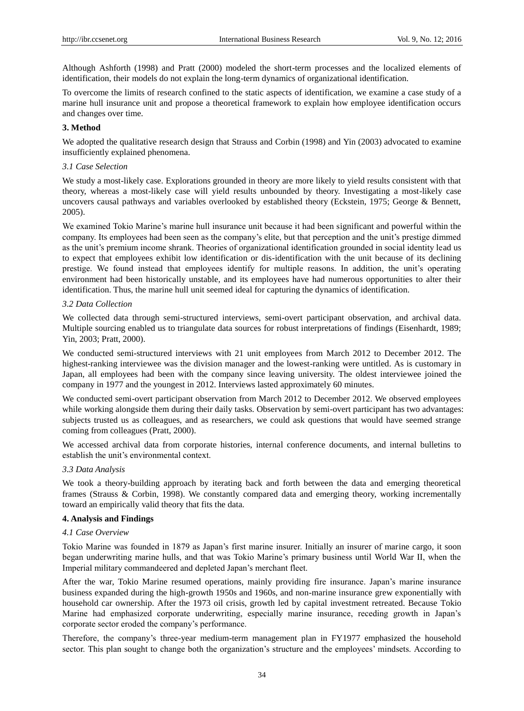Although Ashforth (1998) and Pratt (2000) modeled the short-term processes and the localized elements of identification, their models do not explain the long-term dynamics of organizational identification.

To overcome the limits of research confined to the static aspects of identification, we examine a case study of a marine hull insurance unit and propose a theoretical framework to explain how employee identification occurs and changes over time.

#### **3. Method**

We adopted the qualitative research design that Strauss and Corbin (1998) and Yin (2003) advocated to examine insufficiently explained phenomena.

#### *3.1 Case Selection*

We study a most-likely case. Explorations grounded in theory are more likely to yield results consistent with that theory, whereas a most-likely case will yield results unbounded by theory. Investigating a most-likely case uncovers causal pathways and variables overlooked by established theory (Eckstein, 1975; George & Bennett, 2005).

We examined Tokio Marine's marine hull insurance unit because it had been significant and powerful within the company. Its employees had been seen as the company's elite, but that perception and the unit's prestige dimmed as the unit's premium income shrank. Theories of organizational identification grounded in social identity lead us to expect that employees exhibit low identification or dis-identification with the unit because of its declining prestige. We found instead that employees identify for multiple reasons. In addition, the unit's operating environment had been historically unstable, and its employees have had numerous opportunities to alter their identification. Thus, the marine hull unit seemed ideal for capturing the dynamics of identification.

#### *3.2 Data Collection*

We collected data through semi-structured interviews, semi-overt participant observation, and archival data. Multiple sourcing enabled us to triangulate data sources for robust interpretations of findings (Eisenhardt, 1989; Yin, 2003; Pratt, 2000).

We conducted semi-structured interviews with 21 unit employees from March 2012 to December 2012. The highest-ranking interviewee was the division manager and the lowest-ranking were untitled. As is customary in Japan, all employees had been with the company since leaving university. The oldest interviewee joined the company in 1977 and the youngest in 2012. Interviews lasted approximately 60 minutes.

We conducted semi-overt participant observation from March 2012 to December 2012. We observed employees while working alongside them during their daily tasks. Observation by semi-overt participant has two advantages: subjects trusted us as colleagues, and as researchers, we could ask questions that would have seemed strange coming from colleagues (Pratt, 2000).

We accessed archival data from corporate histories, internal conference documents, and internal bulletins to establish the unit's environmental context.

#### *3.3 Data Analysis*

We took a theory-building approach by iterating back and forth between the data and emerging theoretical frames (Strauss & Corbin, 1998). We constantly compared data and emerging theory, working incrementally toward an empirically valid theory that fits the data.

#### **4. Analysis and Findings**

#### *4.1 Case Overview*

Tokio Marine was founded in 1879 as Japan's first marine insurer. Initially an insurer of marine cargo, it soon began underwriting marine hulls, and that was Tokio Marine's primary business until World War II, when the Imperial military commandeered and depleted Japan's merchant fleet.

After the war, Tokio Marine resumed operations, mainly providing fire insurance. Japan's marine insurance business expanded during the high-growth 1950s and 1960s, and non-marine insurance grew exponentially with household car ownership. After the 1973 oil crisis, growth led by capital investment retreated. Because Tokio Marine had emphasized corporate underwriting, especially marine insurance, receding growth in Japan's corporate sector eroded the company's performance.

Therefore, the company's three-year medium-term management plan in FY1977 emphasized the household sector. This plan sought to change both the organization's structure and the employees' mindsets. According to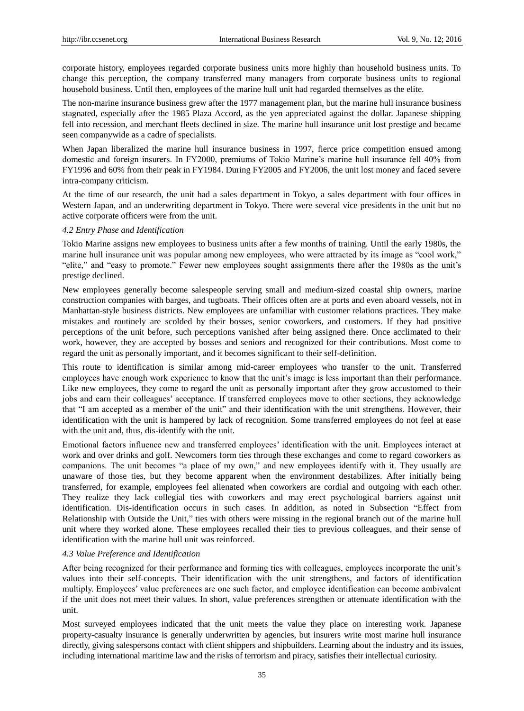corporate history, employees regarded corporate business units more highly than household business units. To change this perception, the company transferred many managers from corporate business units to regional household business. Until then, employees of the marine hull unit had regarded themselves as the elite.

The non-marine insurance business grew after the 1977 management plan, but the marine hull insurance business stagnated, especially after the 1985 Plaza Accord, as the yen appreciated against the dollar. Japanese shipping fell into recession, and merchant fleets declined in size. The marine hull insurance unit lost prestige and became seen companywide as a cadre of specialists.

When Japan liberalized the marine hull insurance business in 1997, fierce price competition ensued among domestic and foreign insurers. In FY2000, premiums of Tokio Marine's marine hull insurance fell 40% from FY1996 and 60% from their peak in FY1984. During FY2005 and FY2006, the unit lost money and faced severe intra-company criticism.

At the time of our research, the unit had a sales department in Tokyo, a sales department with four offices in Western Japan, and an underwriting department in Tokyo. There were several vice presidents in the unit but no active corporate officers were from the unit.

#### *4.2 Entry Phase and Identification*

Tokio Marine assigns new employees to business units after a few months of training. Until the early 1980s, the marine hull insurance unit was popular among new employees, who were attracted by its image as "cool work," "elite," and "easy to promote." Fewer new employees sought assignments there after the 1980s as the unit's prestige declined.

New employees generally become salespeople serving small and medium-sized coastal ship owners, marine construction companies with barges, and tugboats. Their offices often are at ports and even aboard vessels, not in Manhattan-style business districts. New employees are unfamiliar with customer relations practices. They make mistakes and routinely are scolded by their bosses, senior coworkers, and customers. If they had positive perceptions of the unit before, such perceptions vanished after being assigned there. Once acclimated to their work, however, they are accepted by bosses and seniors and recognized for their contributions. Most come to regard the unit as personally important, and it becomes significant to their self-definition.

This route to identification is similar among mid-career employees who transfer to the unit. Transferred employees have enough work experience to know that the unit's image is less important than their performance. Like new employees, they come to regard the unit as personally important after they grow accustomed to their jobs and earn their colleagues' acceptance. If transferred employees move to other sections, they acknowledge that "I am accepted as a member of the unit" and their identification with the unit strengthens. However, their identification with the unit is hampered by lack of recognition. Some transferred employees do not feel at ease with the unit and, thus, dis-identify with the unit.

Emotional factors influence new and transferred employees' identification with the unit. Employees interact at work and over drinks and golf. Newcomers form ties through these exchanges and come to regard coworkers as companions. The unit becomes "a place of my own," and new employees identify with it. They usually are unaware of those ties, but they become apparent when the environment destabilizes. After initially being transferred, for example, employees feel alienated when coworkers are cordial and outgoing with each other. They realize they lack collegial ties with coworkers and may erect psychological barriers against unit identification. Dis-identification occurs in such cases. In addition, as noted in Subsection "Effect from Relationship with Outside the Unit," ties with others were missing in the regional branch out of the marine hull unit where they worked alone. These employees recalled their ties to previous colleagues, and their sense of identification with the marine hull unit was reinforced.

#### *4.3 Value Preference and Identification*

After being recognized for their performance and forming ties with colleagues, employees incorporate the unit's values into their self-concepts. Their identification with the unit strengthens, and factors of identification multiply. Employees' value preferences are one such factor, and employee identification can become ambivalent if the unit does not meet their values. In short, value preferences strengthen or attenuate identification with the unit.

Most surveyed employees indicated that the unit meets the value they place on interesting work. Japanese property-casualty insurance is generally underwritten by agencies, but insurers write most marine hull insurance directly, giving salespersons contact with client shippers and shipbuilders. Learning about the industry and its issues, including international maritime law and the risks of terrorism and piracy, satisfies their intellectual curiosity.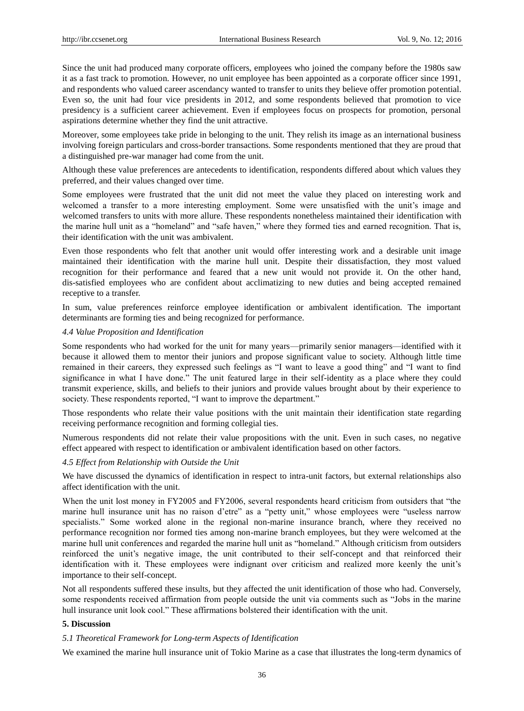Since the unit had produced many corporate officers, employees who joined the company before the 1980s saw it as a fast track to promotion. However, no unit employee has been appointed as a corporate officer since 1991, and respondents who valued career ascendancy wanted to transfer to units they believe offer promotion potential. Even so, the unit had four vice presidents in 2012, and some respondents believed that promotion to vice presidency is a sufficient career achievement. Even if employees focus on prospects for promotion, personal aspirations determine whether they find the unit attractive.

Moreover, some employees take pride in belonging to the unit. They relish its image as an international business involving foreign particulars and cross-border transactions. Some respondents mentioned that they are proud that a distinguished pre-war manager had come from the unit.

Although these value preferences are antecedents to identification, respondents differed about which values they preferred, and their values changed over time.

Some employees were frustrated that the unit did not meet the value they placed on interesting work and welcomed a transfer to a more interesting employment. Some were unsatisfied with the unit's image and welcomed transfers to units with more allure. These respondents nonetheless maintained their identification with the marine hull unit as a "homeland" and "safe haven," where they formed ties and earned recognition. That is, their identification with the unit was ambivalent.

Even those respondents who felt that another unit would offer interesting work and a desirable unit image maintained their identification with the marine hull unit. Despite their dissatisfaction, they most valued recognition for their performance and feared that a new unit would not provide it. On the other hand, dis-satisfied employees who are confident about acclimatizing to new duties and being accepted remained receptive to a transfer.

In sum, value preferences reinforce employee identification or ambivalent identification. The important determinants are forming ties and being recognized for performance.

## *4.4 Value Proposition and Identification*

Some respondents who had worked for the unit for many years—primarily senior managers—identified with it because it allowed them to mentor their juniors and propose significant value to society. Although little time remained in their careers, they expressed such feelings as "I want to leave a good thing" and "I want to find significance in what I have done." The unit featured large in their self-identity as a place where they could transmit experience, skills, and beliefs to their juniors and provide values brought about by their experience to society. These respondents reported, "I want to improve the department."

Those respondents who relate their value positions with the unit maintain their identification state regarding receiving performance recognition and forming collegial ties.

Numerous respondents did not relate their value propositions with the unit. Even in such cases, no negative effect appeared with respect to identification or ambivalent identification based on other factors.

## *4.5 Effect from Relationship with Outside the Unit*

We have discussed the dynamics of identification in respect to intra-unit factors, but external relationships also affect identification with the unit.

When the unit lost money in FY2005 and FY2006, several respondents heard criticism from outsiders that "the marine hull insurance unit has no raison d'etre" as a "petty unit," whose employees were "useless narrow specialists." Some worked alone in the regional non-marine insurance branch, where they received no performance recognition nor formed ties among non-marine branch employees, but they were welcomed at the marine hull unit conferences and regarded the marine hull unit as "homeland." Although criticism from outsiders reinforced the unit's negative image, the unit contributed to their self-concept and that reinforced their identification with it. These employees were indignant over criticism and realized more keenly the unit's importance to their self-concept.

Not all respondents suffered these insults, but they affected the unit identification of those who had. Conversely, some respondents received affirmation from people outside the unit via comments such as "Jobs in the marine hull insurance unit look cool." These affirmations bolstered their identification with the unit.

## **5. Discussion**

## *5.1 Theoretical Framework for Long-term Aspects of Identification*

We examined the marine hull insurance unit of Tokio Marine as a case that illustrates the long-term dynamics of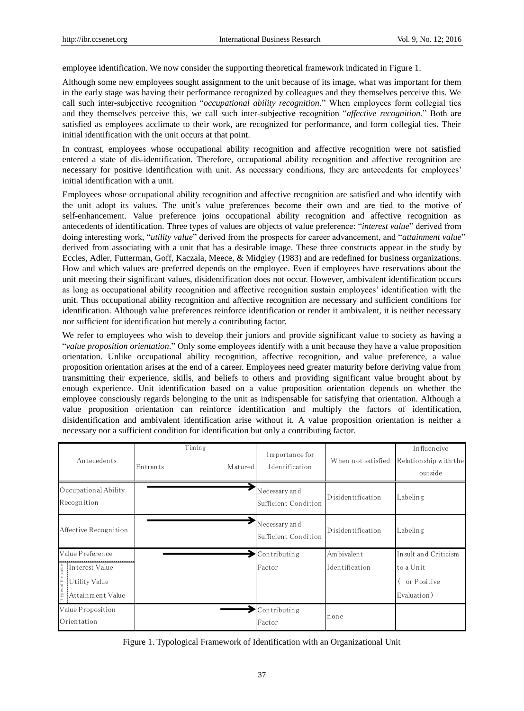employee identification. We now consider the supporting theoretical framework indicated in Figure 1.

Although some new employees sought assignment to the unit because of its image, what was important for them in the early stage was having their performance recognized by colleagues and they themselves perceive this. We call such inter-subjective recognition "*occupational ability recognition*." When employees form collegial ties and they themselves perceive this, we call such inter-subjective recognition "affective recognition." Both are satisfied as employees acclimate to their work, are recognized for performance, and form collegial ties. Their initial identification with the unit occurs at that point.

In contrast, employees whose occupational ability recognition and affective recognition were not satisfied entered a state of dis-identification. Therefore, occupational ability recognition and affective recognition are necessary for positive identification with unit. As necessary conditions, they are antecedents for employees' initial identification with a unit.

Employees whose occupational ability recognition and affective recognition are satisfied and who identify with the unit adopt its values. The unit's value preferences become their own and are tied to the motive of self-enhancement. Value preference joins occupational ability recognition and affective recognition as antecedents of identification. Three types of values are objects of value preference: "interest value" derived from doing interesting work, "*utility value*" derived from the prospects for career advancement, and "*attainment value*" derived from associating with a unit that has a desirable image. These three constructs appear in the study by Eccles, Adler, Futterman, Goff, Kaczala, Meece, & Midgley (1983) and are redefined for business organizations. How and which values are preferred depends on the employee. Even if employees have reservations about the unit meeting their significant values, disidentification does not occur. However, ambivalent identification occurs as long as occupational ability recognition and affective recognition sustain employees' identification with the unit. Thus occupational ability recognition and affective recognition are necessary and sufficient conditions for identification. Although value preferences reinforce identification or render it ambivalent, it is neither necessary nor sufficient for identification but merely a contributing factor.

We refer to employees who wish to develop their juniors and provide significant value to society as having a ―*value proposition orientation*.‖ Only some employees identify with a unit because they have a value proposition orientation. Unlike occupational ability recognition, affective recognition, and value preference, a value proposition orientation arises at the end of a career. Employees need greater maturity before deriving value from transmitting their experience, skills, and beliefs to others and providing significant value brought about by enough experience. Unit identification based on a value proposition orientation depends on whether the employee consciously regards belonging to the unit as indispensable for satisfying that orientation. Although a value proposition orientation can reinforce identification and multiply the factors of identification, disidentification and ambivalent identification arise without it. A value proposition orientation is neither a necessary nor a sufficient condition for identification but only a contributing factor.

| Antecedents                         | Timing<br>Entrants | Matured | Importance for<br>Identification      | When not satisfied | Influencive<br>Relationship with the<br>outside |
|-------------------------------------|--------------------|---------|---------------------------------------|--------------------|-------------------------------------------------|
| Occupational Ability<br>Recognition |                    |         | Necessary and<br>Sufficient Condition | Disidentification  | Labeling                                        |
| Affective Recognition               |                    |         | Necessary and<br>Sufficient Condition | Disidentification  | Labeling                                        |
| Value Preference                    |                    |         | Contributing                          | Ambivalent         | In sult and Criticism                           |
| Interest Value                      |                    |         | Factor                                | Identification     | to a Unit                                       |
| Types of the value<br>Utility Value |                    |         |                                       |                    | or Positive                                     |
| :Attainment Value                   |                    |         |                                       |                    | Evaluation)                                     |
| Value Proposition                   |                    |         | Contributing                          | none               |                                                 |
| Orientation                         |                    |         | Factor                                |                    |                                                 |

Figure 1. Typological Framework of Identification with an Organizational Unit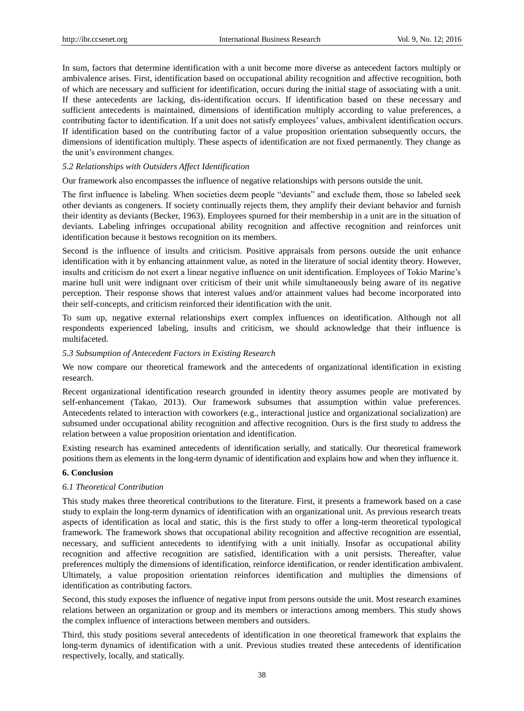In sum, factors that determine identification with a unit become more diverse as antecedent factors multiply or ambivalence arises. First, identification based on occupational ability recognition and affective recognition, both of which are necessary and sufficient for identification, occurs during the initial stage of associating with a unit. If these antecedents are lacking, dis-identification occurs. If identification based on these necessary and sufficient antecedents is maintained, dimensions of identification multiply according to value preferences, a contributing factor to identification. If a unit does not satisfy employees' values, ambivalent identification occurs. If identification based on the contributing factor of a value proposition orientation subsequently occurs, the dimensions of identification multiply. These aspects of identification are not fixed permanently. They change as the unit's environment changes.

#### *5.2 Relationships with Outsiders Affect Identification*

Our framework also encompasses the influence of negative relationships with persons outside the unit.

The first influence is labeling. When societies deem people "deviants" and exclude them, those so labeled seek other deviants as congeners. If society continually rejects them, they amplify their deviant behavior and furnish their identity as deviants (Becker, 1963). Employees spurned for their membership in a unit are in the situation of deviants. Labeling infringes occupational ability recognition and affective recognition and reinforces unit identification because it bestows recognition on its members.

Second is the influence of insults and criticism. Positive appraisals from persons outside the unit enhance identification with it by enhancing attainment value, as noted in the literature of social identity theory. However, insults and criticism do not exert a linear negative influence on unit identification. Employees of Tokio Marine's marine hull unit were indignant over criticism of their unit while simultaneously being aware of its negative perception. Their response shows that interest values and/or attainment values had become incorporated into their self-concepts, and criticism reinforced their identification with the unit.

To sum up, negative external relationships exert complex influences on identification. Although not all respondents experienced labeling, insults and criticism, we should acknowledge that their influence is multifaceted.

## *5.3 Subsumption of Antecedent Factors in Existing Research*

We now compare our theoretical framework and the antecedents of organizational identification in existing research.

Recent organizational identification research grounded in identity theory assumes people are motivated by self-enhancement (Takao, 2013). Our framework subsumes that assumption within value preferences. Antecedents related to interaction with coworkers (e.g., interactional justice and organizational socialization) are subsumed under occupational ability recognition and affective recognition. Ours is the first study to address the relation between a value proposition orientation and identification.

Existing research has examined antecedents of identification serially, and statically. Our theoretical framework positions them as elements in the long-term dynamic of identification and explains how and when they influence it.

## **6. Conclusion**

#### *6.1 Theoretical Contribution*

This study makes three theoretical contributions to the literature. First, it presents a framework based on a case study to explain the long-term dynamics of identification with an organizational unit. As previous research treats aspects of identification as local and static, this is the first study to offer a long-term theoretical typological framework. The framework shows that occupational ability recognition and affective recognition are essential, necessary, and sufficient antecedents to identifying with a unit initially. Insofar as occupational ability recognition and affective recognition are satisfied, identification with a unit persists. Thereafter, value preferences multiply the dimensions of identification, reinforce identification, or render identification ambivalent. Ultimately, a value proposition orientation reinforces identification and multiplies the dimensions of identification as contributing factors.

Second, this study exposes the influence of negative input from persons outside the unit. Most research examines relations between an organization or group and its members or interactions among members. This study shows the complex influence of interactions between members and outsiders.

Third, this study positions several antecedents of identification in one theoretical framework that explains the long-term dynamics of identification with a unit. Previous studies treated these antecedents of identification respectively, locally, and statically.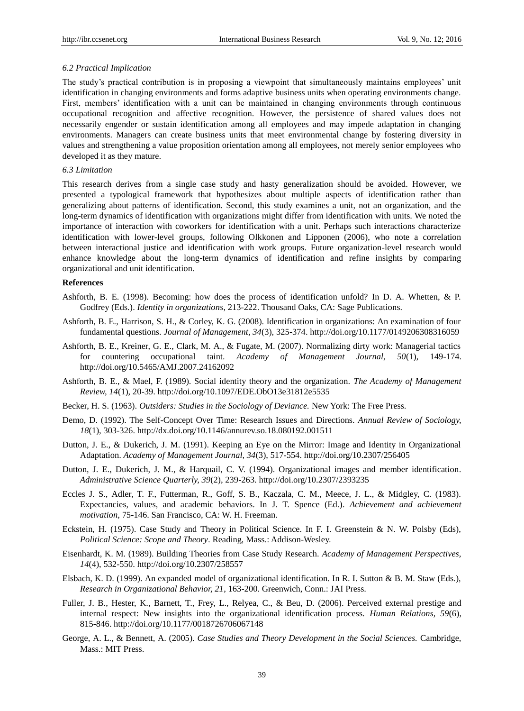## *6.2 Practical Implication*

The study's practical contribution is in proposing a viewpoint that simultaneously maintains employees' unit identification in changing environments and forms adaptive business units when operating environments change. First, members' identification with a unit can be maintained in changing environments through continuous occupational recognition and affective recognition. However, the persistence of shared values does not necessarily engender or sustain identification among all employees and may impede adaptation in changing environments. Managers can create business units that meet environmental change by fostering diversity in values and strengthening a value proposition orientation among all employees, not merely senior employees who developed it as they mature.

## *6.3 Limitation*

This research derives from a single case study and hasty generalization should be avoided. However, we presented a typological framework that hypothesizes about multiple aspects of identification rather than generalizing about patterns of identification. Second, this study examines a unit, not an organization, and the long-term dynamics of identification with organizations might differ from identification with units. We noted the importance of interaction with coworkers for identification with a unit. Perhaps such interactions characterize identification with lower-level groups, following Olkkonen and Lipponen (2006), who note a correlation between interactional justice and identification with work groups. Future organization-level research would enhance knowledge about the long-term dynamics of identification and refine insights by comparing organizational and unit identification.

## **References**

- Ashforth, B. E. (1998). Becoming: how does the process of identification unfold? In D. A. Whetten, & P. Godfrey (Eds.). *Identity in organizations*, 213-222. Thousand Oaks, CA: Sage Publications.
- Ashforth, B. E., Harrison, S. H., & Corley, K. G. (2008). Identification in organizations: An examination of four fundamental questions. *Journal of Management, 34*(3), 325-374.<http://doi.org/10.1177/0149206308316059>
- Ashforth, B. E., Kreiner, G. E., Clark, M. A., & Fugate, M. (2007). Normalizing dirty work: Managerial tactics for countering occupational taint. *Academy of Management Journal, 50*(1), 149-174. <http://doi.org/10.5465/AMJ.2007.24162092>
- Ashforth, B. E., & Mael, F. (1989). Social identity theory and the organization. *The Academy of Management Review, 14*(1), 20-39.<http://doi.org/10.1097/EDE.ObO13e31812e5535>
- Becker, H. S. (1963). *Outsiders: Studies in the Sociology of Deviance.* New York: The Free Press.
- Demo, D. (1992). The Self-Concept Over Time: Research Issues and Directions. *Annual Review of Sociology, 18*(1), 303-326. <http://dx.doi.org/10.1146/annurev.so.18.080192.001511>
- Dutton, J. E., & Dukerich, J. M. (1991). Keeping an Eye on the Mirror: Image and Identity in Organizational Adaptation. *Academy of Management Journal, 34*(3), 517-554. <http://doi.org/10.2307/256405>
- Dutton, J. E., Dukerich, J. M., & Harquail, C. V. (1994). Organizational images and member identification*. Administrative Science Quarterly, 39*(2), 239-263.<http://doi.org/10.2307/2393235>
- Eccles J. S., Adler, T. F., Futterman, R., Goff, S. B., Kaczala, C. M., Meece, J. L., & Midgley, C. (1983). Expectancies, values, and academic behaviors. In J. T. Spence (Ed.). *Achievement and achievement motivation*, 75-146. San Francisco, CA: W. H. Freeman.
- Eckstein, H. (1975). Case Study and Theory in Political Science. In F. I. Greenstein & N. W. Polsby (Eds), *Political Science: Scope and Theory*. Reading, Mass.: Addison-Wesley.
- Eisenhardt, K. M. (1989). Building Theories from Case Study Research. *Academy of Management Perspectives, 14*(4), 532-550.<http://doi.org/10.2307/258557>
- Elsbach, K. D. (1999). An expanded model of organizational identification. In R. I. Sutton & B. M. Staw (Eds.), *Research in Organizational Behavior, 21*, 163-200. Greenwich, Conn.: JAI Press.
- Fuller, J. B., Hester, K., Barnett, T., Frey, L., Relyea, C., & Beu, D. (2006). Perceived external prestige and internal respect: New insights into the organizational identification process. *Human Relations, 59*(6), 815-846.<http://doi.org/10.1177/0018726706067148>
- George, A. L., & Bennett, A. (2005). *Case Studies and Theory Development in the Social Sciences.* Cambridge, Mass.: MIT Press.